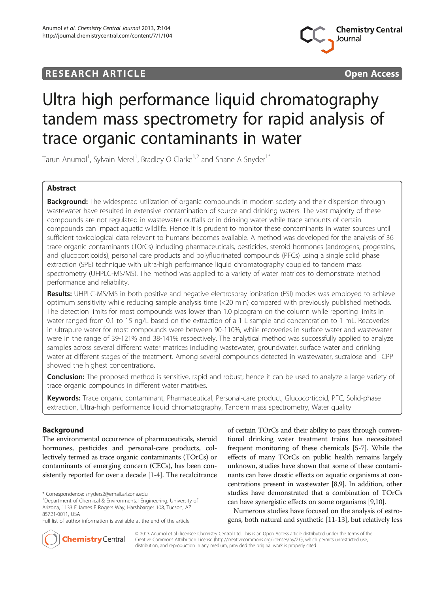## **RESEARCH ARTICLE Example 2014 CONSIDERING CONSIDERING CONSIDERING CONSIDERING CONSIDERING CONSIDERING CONSIDERING CONSIDERING CONSIDERING CONSIDERING CONSIDERING CONSIDERING CONSIDERING CONSIDERING CONSIDERING CONSIDE**



# Ultra high performance liquid chromatography tandem mass spectrometry for rapid analysis of trace organic contaminants in water

Tarun Anumol<sup>1</sup>, Sylvain Merel<sup>1</sup>, Bradley O Clarke<sup>1,2</sup> and Shane A Snyder<sup>1\*</sup>

## Abstract

Background: The widespread utilization of organic compounds in modern society and their dispersion through wastewater have resulted in extensive contamination of source and drinking waters. The vast majority of these compounds are not regulated in wastewater outfalls or in drinking water while trace amounts of certain compounds can impact aquatic wildlife. Hence it is prudent to monitor these contaminants in water sources until sufficient toxicological data relevant to humans becomes available. A method was developed for the analysis of 36 trace organic contaminants (TOrCs) including pharmaceuticals, pesticides, steroid hormones (androgens, progestins, and glucocorticoids), personal care products and polyfluorinated compounds (PFCs) using a single solid phase extraction (SPE) technique with ultra-high performance liquid chromatography coupled to tandem mass spectrometry (UHPLC-MS/MS). The method was applied to a variety of water matrices to demonstrate method performance and reliability.

Results: UHPLC-MS/MS in both positive and negative electrospray ionization (ESI) modes was employed to achieve optimum sensitivity while reducing sample analysis time (<20 min) compared with previously published methods. The detection limits for most compounds was lower than 1.0 picogram on the column while reporting limits in water ranged from 0.1 to 15 ng/L based on the extraction of a 1 L sample and concentration to 1 mL. Recoveries in ultrapure water for most compounds were between 90-110%, while recoveries in surface water and wastewater were in the range of 39-121% and 38-141% respectively. The analytical method was successfully applied to analyze samples across several different water matrices including wastewater, groundwater, surface water and drinking water at different stages of the treatment. Among several compounds detected in wastewater, sucralose and TCPP showed the highest concentrations.

Conclusion: The proposed method is sensitive, rapid and robust; hence it can be used to analyze a large variety of trace organic compounds in different water matrixes.

Keywords: Trace organic contaminant, Pharmaceutical, Personal-care product, Glucocorticoid, PFC, Solid-phase extraction, Ultra-high performance liquid chromatography, Tandem mass spectrometry, Water quality

## Background

The environmental occurrence of pharmaceuticals, steroid hormones, pesticides and personal-care products, collectively termed as trace organic contaminants (TOrCs) or contaminants of emerging concern (CECs), has been consistently reported for over a decade [\[1-4](#page-12-0)]. The recalcitrance

\* Correspondence: [snyders2@email.arizona.edu](mailto:snyders2@email.arizona.edu) <sup>1</sup>

of certain TOrCs and their ability to pass through conventional drinking water treatment trains has necessitated frequent monitoring of these chemicals [\[5-7\]](#page-12-0). While the effects of many TOrCs on public health remains largely unknown, studies have shown that some of these contaminants can have drastic effects on aquatic organisms at concentrations present in wastewater [\[8,9](#page-12-0)]. In addition, other studies have demonstrated that a combination of TOrCs can have synergistic effects on some organisms [[9,10\]](#page-12-0).

Numerous studies have focused on the analysis of estrogens, both natural and synthetic [\[11-13\]](#page-12-0), but relatively less



© 2013 Anumol et al.; licensee Chemistry Central Ltd. This is an Open Access article distributed under the terms of the Creative Commons Attribution License [\(http://creativecommons.org/licenses/by/2.0\)](http://creativecommons.org/licenses/by/2.0), which permits unrestricted use, distribution, and reproduction in any medium, provided the original work is properly cited.

Department of Chemical & Environmental Engineering, University of Arizona, 1133 E James E Rogers Way, Harshbarger 108, Tucson, AZ 85721-0011, USA

Full list of author information is available at the end of the article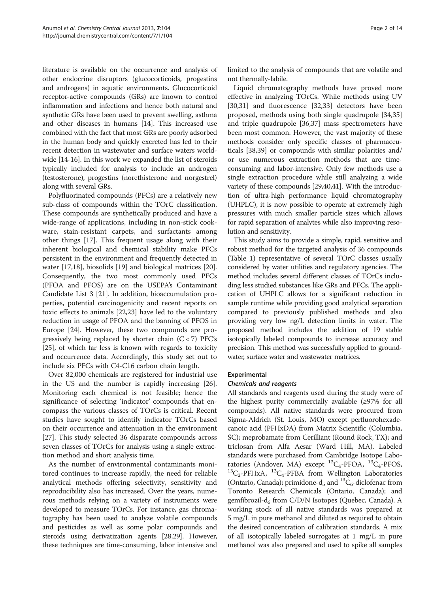literature is available on the occurrence and analysis of other endocrine disruptors (glucocorticoids, progestins and androgens) in aquatic environments. Glucocorticoid receptor-active compounds (GRs) are known to control inflammation and infections and hence both natural and synthetic GRs have been used to prevent swelling, asthma and other diseases in humans [\[14\]](#page-12-0). This increased use combined with the fact that most GRs are poorly adsorbed in the human body and quickly excreted has led to their recent detection in wastewater and surface waters worldwide [\[14-16](#page-12-0)]. In this work we expanded the list of steroids typically included for analysis to include an androgen (testosterone), progestins (norethisterone and norgestrel) along with several GRs.

Polyfluorinated compounds (PFCs) are a relatively new sub-class of compounds within the TOrC classification. These compounds are synthetically produced and have a wide-range of applications, including in non-stick cookware, stain-resistant carpets, and surfactants among other things [\[17\]](#page-12-0). This frequent usage along with their inherent biological and chemical stability make PFCs persistent in the environment and frequently detected in water [[17](#page-12-0),[18](#page-12-0)], biosolids [[19\]](#page-12-0) and biological matrices [\[20](#page-12-0)]. Consequently, the two most commonly used PFCs (PFOA and PFOS) are on the USEPA's Contaminant Candidate List 3 [[21](#page-12-0)]. In addition, bioaccumulation properties, potential carcinogenicity and recent reports on toxic effects to animals [[22](#page-12-0),[23](#page-12-0)] have led to the voluntary reduction in usage of PFOA and the banning of PFOS in Europe [[24\]](#page-12-0). However, these two compounds are progressively being replaced by shorter chain  $(C < 7)$  PFC's [[25\]](#page-12-0), of which far less is known with regards to toxicity and occurrence data. Accordingly, this study set out to include six PFCs with C4-C16 carbon chain length.

Over 82,000 chemicals are registered for industrial use in the US and the number is rapidly increasing [\[26](#page-12-0)]. Monitoring each chemical is not feasible; hence the significance of selecting 'indicator' compounds that encompass the various classes of TOrCs is critical. Recent studies have sought to identify indicator TOrCs based on their occurrence and attenuation in the environment [[27\]](#page-12-0). This study selected 36 disparate compounds across seven classes of TOrCs for analysis using a single extraction method and short analysis time.

As the number of environmental contaminants monitored continues to increase rapidly, the need for reliable analytical methods offering selectivity, sensitivity and reproducibility also has increased. Over the years, numerous methods relying on a variety of instruments were developed to measure TOrCs. For instance, gas chromatography has been used to analyze volatile compounds and pesticides as well as some polar compounds and steroids using derivatization agents [[28,29](#page-12-0)]. However, these techniques are time-consuming, labor intensive and limited to the analysis of compounds that are volatile and not thermally-labile.

Liquid chromatography methods have proved more effective in analyzing TOrCs. While methods using UV [[30,31\]](#page-12-0) and fluorescence [\[32,33\]](#page-12-0) detectors have been proposed, methods using both single quadrupole [[34](#page-12-0),[35](#page-12-0)] and triple quadrupole [\[36,37\]](#page-13-0) mass spectrometers have been most common. However, the vast majority of these methods consider only specific classes of pharmaceuticals [[38](#page-13-0),[39](#page-13-0)] or compounds with similar polarities and/ or use numerous extraction methods that are timeconsuming and labor-intensive. Only few methods use a single extraction procedure while still analyzing a wide variety of these compounds [\[29,](#page-12-0)[40,41](#page-13-0)]. With the introduction of ultra-high performance liquid chromatography (UHPLC), it is now possible to operate at extremely high pressures with much smaller particle sizes which allows for rapid separation of analytes while also improving resolution and sensitivity.

This study aims to provide a simple, rapid, sensitive and robust method for the targeted analysis of 36 compounds (Table [1\)](#page-2-0) representative of several TOrC classes usually considered by water utilities and regulatory agencies. The method includes several different classes of TOrCs including less studied substances like GRs and PFCs. The application of UHPLC allows for a significant reduction in sample runtime while providing good analytical separation compared to previously published methods and also providing very low ng/L detection limits in water. The proposed method includes the addition of 19 stable isotopically labeled compounds to increase accuracy and precision. This method was successfully applied to groundwater, surface water and wastewater matrices.

## Experimental

#### Chemicals and reagents

All standards and reagents used during the study were of the highest purity commercially available (≥97% for all compounds). All native standards were procured from Sigma-Aldrich (St. Louis, MO) except perfluorohexadecanoic acid (PFHxDA) from Matrix Scientific (Columbia, SC); meprobamate from Cerilliant (Round Rock, TX); and triclosan from Alfa Aesar (Ward Hill, MA). Labeled standards were purchased from Cambridge Isotope Laboratories (Andover, MA) except  ${}^{13}C_4$ -PFOA,  ${}^{13}C_4$ -PFOS,  ${}^{13}C_2$ -PFHxA,  ${}^{13}C_4$ -PFBA from Wellington Laboratories (Ontario, Canada); primidone-d<sub>5</sub> and <sup>13</sup>C<sub>6</sub>-diclofenac from Toronto Research Chemicals (Ontario, Canada); and gemfibrozil-d<sub>6</sub> from C/D/N Isotopes (Quebec, Canada). A working stock of all native standards was prepared at 5 mg/L in pure methanol and diluted as required to obtain the desired concentration of calibration standards. A mix of all isotopically labeled surrogates at 1 mg/L in pure methanol was also prepared and used to spike all samples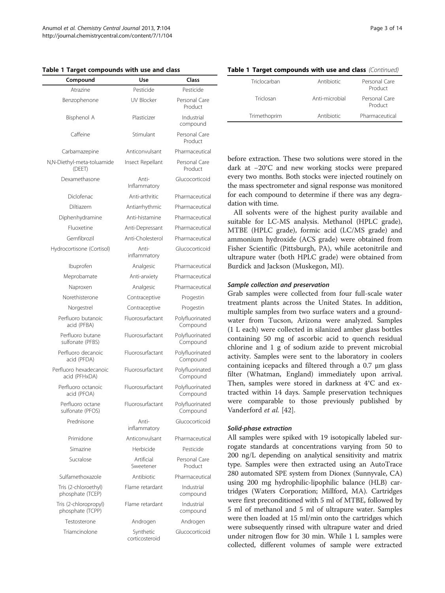<span id="page-2-0"></span>Table 1 Target compounds with use and class

| Compound                                  | Use                         | Class                       |  |  |
|-------------------------------------------|-----------------------------|-----------------------------|--|--|
| Atrazine                                  | Pesticide                   | Pesticide                   |  |  |
| Benzophenone                              | <b>UV Blocker</b>           | Personal Care<br>Product    |  |  |
| Bisphenol A                               | Plasticizer                 | Industrial<br>compound      |  |  |
| Caffeine                                  | Stimulant                   | Personal Care<br>Product    |  |  |
| Carbamazepine                             | Anticonvulsant              | Pharmaceutical              |  |  |
| N,N-Diethyl-meta-toluamide<br>(DEET)      | Insect Repellant            | Personal Care<br>Product    |  |  |
| Dexamethasone                             | Anti-<br>Inflammatory       | Glucocorticoid              |  |  |
| Diclofenac                                | Anti-arthritic              | Pharmaceutical              |  |  |
| Diltiazem                                 | Antiarrhythmic              | Pharmaceutical              |  |  |
| Diphenhydramine                           | Anti-histamine              | Pharmaceutical              |  |  |
| Fluoxetine                                | Anti-Depressant             | Pharmaceutical              |  |  |
| Gemfibrozil                               | Anti-Cholesterol            | Pharmaceutical              |  |  |
| Hydrocortisone (Cortisol)                 | Anti-<br>inflammatory       | Glucocorticoid              |  |  |
| Ibuprofen                                 | Analgesic                   | Pharmaceutical              |  |  |
| Meprobamate                               | Anti-anxiety                | Pharmaceutical              |  |  |
| Naproxen                                  | Analgesic                   | Pharmaceutical              |  |  |
| Norethisterone                            | Contraceptive               | Progestin                   |  |  |
| Norgestrel                                | Contraceptive               | Progestin                   |  |  |
| Perfluoro butanoic<br>acid (PFBA)         | Fluorosurfactant            | Polyfluorinated<br>Compound |  |  |
| Perfluoro butane<br>sulfonate (PFBS)      | Fluorosurfactant            | Polyfluorinated<br>Compound |  |  |
| Perfluoro decanoic<br>acid (PFDA)         | Fluorosurfactant            | Polyfluorinated<br>Compound |  |  |
| Perfluoro hexadecanoic<br>acid (PFHxDA)   | Fluorosurfactant            | Polyfluorinated<br>Compound |  |  |
| Perfluoro octanoic<br>acid (PFOA)         | Fluorosurfactant            | Polyfluorinated<br>Compound |  |  |
| Perfluoro octane<br>sulfonate (PFOS)      | Fluorosurfactant            | Polyfluorinated<br>Compound |  |  |
| Prednisone                                | Anti-<br>inflammatory       | Glucocorticoid              |  |  |
| Primidone                                 | Anticonvulsant              | Pharmaceutical              |  |  |
| Simazine                                  | Herbicide                   | Pesticide                   |  |  |
| Sucralose                                 | Artificial<br>Sweetener     | Personal Care<br>Product    |  |  |
| Sulfamethoxazole                          | Antibiotic                  | Pharmaceutical              |  |  |
| Tris (2-chloroethyl)<br>phosphate (TCEP)  | Flame retardant             | Industrial<br>compound      |  |  |
| Tris (2-chloropropyl)<br>phosphate (TCPP) | Flame retardant             | Industrial<br>compound      |  |  |
| Testosterone                              | Androgen                    | Androgen                    |  |  |
| Triamcinolone                             | Synthetic<br>corticosteroid | Glucocorticoid              |  |  |

## Table 1 Target compounds with use and class (Continued)

| Triclocarban | Antibiotic     | Personal Care<br>Product |
|--------------|----------------|--------------------------|
| Triclosan    | Anti-microbial | Personal Care<br>Product |
| Trimethoprim | Antibiotic     | Pharmaceutical           |

before extraction. These two solutions were stored in the dark at −20°C and new working stocks were prepared every two months. Both stocks were injected routinely on the mass spectrometer and signal response was monitored for each compound to determine if there was any degradation with time.

All solvents were of the highest purity available and suitable for LC-MS analysis. Methanol (HPLC grade), MTBE (HPLC grade), formic acid (LC/MS grade) and ammonium hydroxide (ACS grade) were obtained from Fisher Scientific (Pittsburgh, PA), while acetonitrile and ultrapure water (both HPLC grade) were obtained from Burdick and Jackson (Muskegon, MI).

#### Sample collection and preservation

Grab samples were collected from four full-scale water treatment plants across the United States. In addition, multiple samples from two surface waters and a groundwater from Tucson, Arizona were analyzed. Samples (1 L each) were collected in silanized amber glass bottles containing 50 mg of ascorbic acid to quench residual chlorine and 1 g of sodium azide to prevent microbial activity. Samples were sent to the laboratory in coolers containing icepacks and filtered through a 0.7 μm glass filter (Whatman, England) immediately upon arrival. Then, samples were stored in darkness at 4°C and extracted within 14 days. Sample preservation techniques were comparable to those previously published by Vanderford et al. [\[42](#page-13-0)].

#### Solid-phase extraction

All samples were spiked with 19 isotopically labeled surrogate standards at concentrations varying from 50 to 200 ng/L depending on analytical sensitivity and matrix type. Samples were then extracted using an AutoTrace 280 automated SPE system from Dionex (Sunnyvale, CA) using 200 mg hydrophilic-lipophilic balance (HLB) cartridges (Waters Corporation; Millford, MA). Cartridges were first preconditioned with 5 ml of MTBE, followed by 5 ml of methanol and 5 ml of ultrapure water. Samples were then loaded at 15 ml/min onto the cartridges which were subsequently rinsed with ultrapure water and dried under nitrogen flow for 30 min. While 1 L samples were collected, different volumes of sample were extracted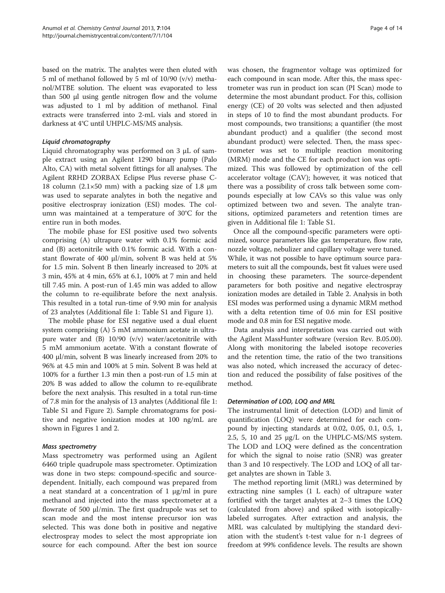based on the matrix. The analytes were then eluted with 5 ml of methanol followed by 5 ml of 10/90 (v/v) methanol/MTBE solution. The eluent was evaporated to less than 500 μl using gentle nitrogen flow and the volume was adjusted to 1 ml by addition of methanol. Final extracts were transferred into 2-mL vials and stored in darkness at 4°C until UHPLC-MS/MS analysis.

#### Liquid chromatography

Liquid chromatography was performed on 3 μL of sample extract using an Agilent 1290 binary pump (Palo Alto, CA) with metal solvent fittings for all analyses. The Agilent RRHD ZORBAX Eclipse Plus reverse phase C-18 column (2.1×50 mm) with a packing size of 1.8 μm was used to separate analytes in both the negative and positive electrospray ionization (ESI) modes. The column was maintained at a temperature of 30°C for the entire run in both modes.

The mobile phase for ESI positive used two solvents comprising (A) ultrapure water with 0.1% formic acid and (B) acetonitrile with 0.1% formic acid. With a constant flowrate of 400 μl/min, solvent B was held at 5% for 1.5 min. Solvent B then linearly increased to 20% at 3 min, 45% at 4 min, 65% at 6.1, 100% at 7 min and held till 7.45 min. A post-run of 1.45 min was added to allow the column to re-equilibrate before the next analysis. This resulted in a total run-time of 9.90 min for analysis of 23 analytes (Additional file [1](#page-11-0): Table S1 and Figure [1\)](#page-4-0).

The mobile phase for ESI negative used a dual eluent system comprising (A) 5 mM ammonium acetate in ultrapure water and (B) 10/90 (v/v) water/acetonitrile with 5 mM ammonium acetate. With a constant flowrate of 400 μl/min, solvent B was linearly increased from 20% to 96% at 4.5 min and 100% at 5 min. Solvent B was held at 100% for a further 1.3 min then a post-run of 1.5 min at 20% B was added to allow the column to re-equilibrate before the next analysis. This resulted in a total run-time of 7.8 min for the analysis of 13 analytes (Additional file [1](#page-11-0): Table S1 and Figure [2](#page-4-0)). Sample chromatograms for positive and negative ionization modes at 100 ng/mL are shown in Figures [1](#page-4-0) and [2](#page-4-0).

## Mass spectrometry

Mass spectrometry was performed using an Agilent 6460 triple quadrupole mass spectrometer. Optimization was done in two steps: compound-specific and sourcedependent. Initially, each compound was prepared from a neat standard at a concentration of 1 μg/ml in pure methanol and injected into the mass spectrometer at a flowrate of 500 μl/min. The first quadrupole was set to scan mode and the most intense precursor ion was selected. This was done both in positive and negative electrospray modes to select the most appropriate ion source for each compound. After the best ion source was chosen, the fragmentor voltage was optimized for each compound in scan mode. After this, the mass spectrometer was run in product ion scan (PI Scan) mode to determine the most abundant product. For this, collision energy (CE) of 20 volts was selected and then adjusted in steps of 10 to find the most abundant products. For most compounds, two transitions; a quantifier (the most abundant product) and a qualifier (the second most abundant product) were selected. Then, the mass spectrometer was set to multiple reaction monitoring (MRM) mode and the CE for each product ion was optimized. This was followed by optimization of the cell accelerator voltage (CAV); however, it was noticed that there was a possibility of cross talk between some compounds especially at low CAVs so this value was only optimized between two and seven. The analyte transitions, optimized parameters and retention times are given in Additional file [1](#page-11-0): Table S1.

Once all the compound-specific parameters were optimized, source parameters like gas temperature, flow rate, nozzle voltage, nebulizer and capillary voltage were tuned. While, it was not possible to have optimum source parameters to suit all the compounds, best fit values were used in choosing these parameters. The source-dependent parameters for both positive and negative electrospray ionization modes are detailed in Table [2.](#page-5-0) Analysis in both ESI modes was performed using a dynamic MRM method with a delta retention time of 0.6 min for ESI positive mode and 0.8 min for ESI negative mode.

Data analysis and interpretation was carried out with the Agilent MassHunter software (version Rev. B.05.00). Along with monitoring the labeled isotope recoveries and the retention time, the ratio of the two transitions was also noted, which increased the accuracy of detection and reduced the possibility of false positives of the method.

## Determination of LOD, LOQ and MRL

The instrumental limit of detection (LOD) and limit of quantification (LOQ) were determined for each compound by injecting standards at 0.02, 0.05, 0.1, 0.5, 1, 2.5, 5, 10 and 25 μg/L on the UHPLC-MS/MS system. The LOD and LOQ were defined as the concentration for which the signal to noise ratio (SNR) was greater than 3 and 10 respectively. The LOD and LOQ of all target analytes are shown in Table [3](#page-5-0).

The method reporting limit (MRL) was determined by extracting nine samples (1 L each) of ultrapure water fortified with the target analytes at 2–3 times the LOQ (calculated from above) and spiked with isotopicallylabeled surrogates. After extraction and analysis, the MRL was calculated by multiplying the standard deviation with the student's t-test value for n-1 degrees of freedom at 99% confidence levels. The results are shown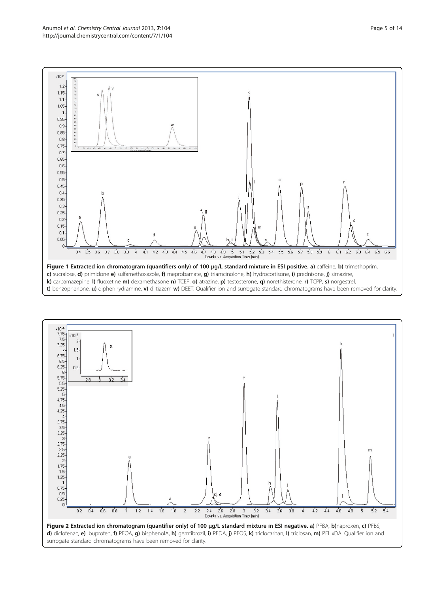<span id="page-4-0"></span> $\times$ 105  $1.2$  $1.15$  $1.1$ 1.05 0.95  $0.9$  $0.85$  $0.8$  $0.75$  $0.7$ 0.65  $0.6$  $0.55 0.5$  $0.45$  $0.4$ 





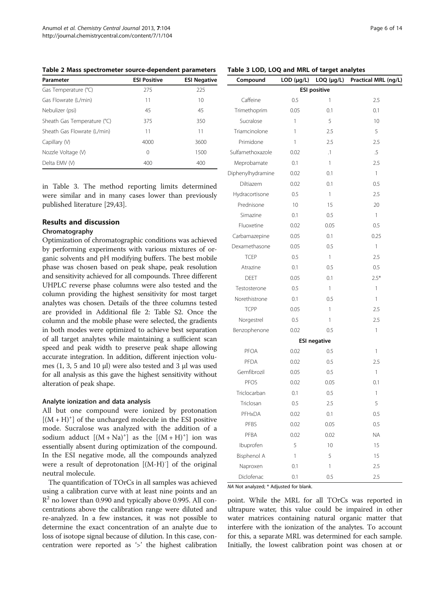<span id="page-5-0"></span>Table 2 Mass spectrometer source-dependent parameters

| Parameter                   | <b>ESI Positive</b> | <b>ESI Negative</b> |
|-----------------------------|---------------------|---------------------|
| Gas Temperature (°C)        | 275                 | 225                 |
| Gas Flowrate (L/min)        | 11                  | 10                  |
| Nebulizer (psi)             | 45                  | 45                  |
| Sheath Gas Temperature (°C) | 375                 | 350                 |
| Sheath Gas Flowrate (L/min) | 11                  | 11                  |
| Capillary (V)               | 4000                | 3600                |
| Nozzle Voltage (V)          | 0                   | 1500                |
| Delta EMV (V)               | 400                 | 400                 |

in Table 3. The method reporting limits determined were similar and in many cases lower than previously published literature [[29](#page-12-0)[,43](#page-13-0)].

## Results and discussion

#### Chromatography

Optimization of chromatographic conditions was achieved by performing experiments with various mixtures of organic solvents and pH modifying buffers. The best mobile phase was chosen based on peak shape, peak resolution and sensitivity achieved for all compounds. Three different UHPLC reverse phase columns were also tested and the column providing the highest sensitivity for most target analytes was chosen. Details of the three columns tested are provided in Additional file [2:](#page-11-0) Table S2. Once the column and the mobile phase were selected, the gradients in both modes were optimized to achieve best separation of all target analytes while maintaining a sufficient scan speed and peak width to preserve peak shape allowing accurate integration. In addition, different injection volumes (1, 3, 5 and 10 μl) were also tested and 3 μl was used for all analysis as this gave the highest sensitivity without alteration of peak shape.

#### Analyte ionization and data analysis

All but one compound were ionized by protonation  $[(M + H)<sup>+</sup>]$  of the uncharged molecule in the ESI positive mode. Sucralose was analyzed with the addition of a sodium adduct  $[(M + Na)^+]$  as the  $[(M + H)^+]$  ion was essentially absent during optimization of the compound. In the ESI negative mode, all the compounds analyzed were a result of deprotonation [(M-H)<sup>-</sup>] of the original neutral molecule.

The quantification of TOrCs in all samples was achieved using a calibration curve with at least nine points and an  $R<sup>2</sup>$  no lower than 0.990 and typically above 0.995. All concentrations above the calibration range were diluted and re-analyzed. In a few instances, it was not possible to determine the exact concentration of an analyte due to loss of isotope signal because of dilution. In this case, concentration were reported as '>' the highest calibration

| Compound          | $LOD$ ( $\mu$ g/L) | $LOQ$ ( $\mu$ g/L)  | Practical MRL (ng/L) |
|-------------------|--------------------|---------------------|----------------------|
|                   |                    | <b>ESI positive</b> |                      |
| Caffeine          | 0.5                | 1                   | 2.5                  |
| Trimethoprim      | 0.05               | 0.1                 | 0.1                  |
| Sucralose         | 1                  | 5                   | 10                   |
| Triamcinolone     | 1                  | 2.5                 | 5                    |
| Primidone         | 1                  | 2.5                 | 2.5                  |
| Sulfamethoxazole  | 0.02               | $\cdot$ 1           | .5                   |
| Meprobamate       | 0.1                | 1                   | 2.5                  |
| Diphenylhydramine | 0.02               | 0.1                 | 1                    |
| Diltiazem         | 0.02               | 0.1                 | 0.5                  |
| Hydracortisone    | 0.5                | 1                   | 2.5                  |
| Prednisone        | 10                 | 15                  | 20                   |
| Simazine          | 0.1                | 0.5                 | 1                    |
| Fluoxetine        | 0.02               | 0.05                | 0.5                  |
| Carbamazepine     | 0.05               | 0.1                 | 0.25                 |
| Dexamethasone     | 0.05               | 0.5                 | 1                    |
| <b>TCEP</b>       | 0.5                | 1                   | 2.5                  |
| Atrazine          | 0.1                | 0.5                 | 0.5                  |
| <b>DEET</b>       | 0.05               | 0.1                 | $2.5*$               |
| Testosterone      | 0.5                | 1                   | 1                    |
| Norethistrone     | 0.1                | 0.5                 | 1                    |
| <b>TCPP</b>       | 0.05               | 1                   | 2.5                  |
| Norgestrel        | 0.5                | 1                   | 2.5                  |
| Benzophenone      | 0.02               | 0.5                 | 1                    |
|                   |                    | <b>ESI negative</b> |                      |
| <b>PFOA</b>       | 0.02               | 0.5                 | 1                    |
| PFDA              | 0.02               | 0.5                 | 2.5                  |
| Gemfibrozil       | 0.05               | 0.5                 | 1                    |
| PFOS              | 0.02               | 0.05                | 0.1                  |
| Triclocarban      | 0.1                | 0.5                 | 1                    |
| Triclosan         | 0.5                | 2.5                 | 5                    |
| PFHxDA            | 0.02               | 0.1                 | 0.5                  |
| PFBS              | 0.02               | 0.05                | 0.5                  |
| PFBA              | 0.02               | 0.02                | ΝA                   |
| Ibuprofen         | 5                  | 10                  | 15                   |
| Bisphenol A       | 1                  | 5                   | 15                   |
| Naproxen          | 0.1                | 1                   | 2.5                  |
| Diclofenac        | 0.1                | 0.5                 | 2.5                  |

NA Not analyzed; \* Adjusted for blank.

point. While the MRL for all TOrCs was reported in ultrapure water, this value could be impaired in other water matrices containing natural organic matter that interfere with the ionization of the analytes. To account for this, a separate MRL was determined for each sample. Initially, the lowest calibration point was chosen at or

#### Table 3 LOD, LOQ and MRL of target analytes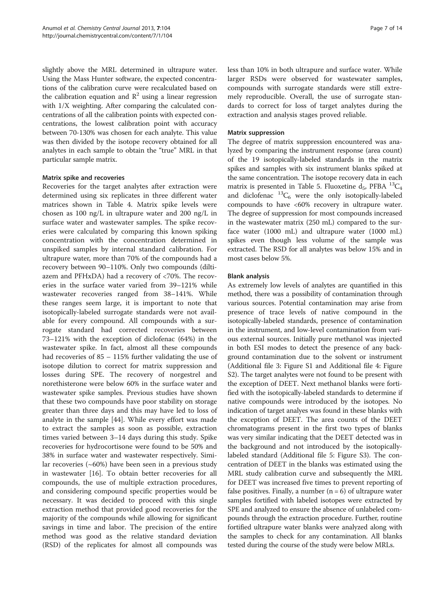slightly above the MRL determined in ultrapure water. Using the Mass Hunter software, the expected concentrations of the calibration curve were recalculated based on the calibration equation and  $\mathbb{R}^2$  using a linear regression with 1/X weighting. After comparing the calculated concentrations of all the calibration points with expected concentrations, the lowest calibration point with accuracy between 70-130% was chosen for each analyte. This value was then divided by the isotope recovery obtained for all analytes in each sample to obtain the "true" MRL in that particular sample matrix.

## Matrix spike and recoveries

Recoveries for the target analytes after extraction were determined using six replicates in three different water matrices shown in Table [4](#page-7-0). Matrix spike levels were chosen as 100 ng/L in ultrapure water and 200 ng/L in surface water and wastewater samples. The spike recoveries were calculated by comparing this known spiking concentration with the concentration determined in unspiked samples by internal standard calibration. For ultrapure water, more than 70% of the compounds had a recovery between 90–110%. Only two compounds (diltiazem and PFHxDA) had a recovery of <70%. The recoveries in the surface water varied from 39–121% while wastewater recoveries ranged from 38–141%. While these ranges seem large, it is important to note that isotopically-labeled surrogate standards were not available for every compound. All compounds with a surrogate standard had corrected recoveries between 73–121% with the exception of diclofenac (64%) in the wastewater spike. In fact, almost all these compounds had recoveries of 85 – 115% further validating the use of isotope dilution to correct for matrix suppression and losses during SPE. The recovery of norgestrel and norethisterone were below 60% in the surface water and wastewater spike samples. Previous studies have shown that these two compounds have poor stability on storage greater than three days and this may have led to loss of analyte in the sample [\[44\]](#page-13-0). While every effort was made to extract the samples as soon as possible, extraction times varied between 3–14 days during this study. Spike recoveries for hydrocortisone were found to be 50% and 38% in surface water and wastewater respectively. Similar recoveries (~60%) have been seen in a previous study in wastewater [[16\]](#page-12-0). To obtain better recoveries for all compounds, the use of multiple extraction procedures, and considering compound specific properties would be necessary. It was decided to proceed with this single extraction method that provided good recoveries for the majority of the compounds while allowing for significant savings in time and labor. The precision of the entire method was good as the relative standard deviation (RSD) of the replicates for almost all compounds was

less than 10% in both ultrapure and surface water. While larger RSDs were observed for wastewater samples, compounds with surrogate standards were still extremely reproducible. Overall, the use of surrogate standards to correct for loss of target analytes during the extraction and analysis stages proved reliable.

#### Matrix suppression

The degree of matrix suppression encountered was analyzed by comparing the instrument response (area count) of the 19 isotopically-labeled standards in the matrix spikes and samples with six instrument blanks spiked at the same concentration. The isotope recovery data in each matrix is presented in Table [5.](#page-8-0) Fluoxetine  $d_5$ , PFBA  ${}^{13}C_4$ and diclofenac  ${}^{13}C_6$  were the only isotopically-labeled compounds to have <60% recovery in ultrapure water. The degree of suppression for most compounds increased in the wastewater matrix (250 mL) compared to the surface water (1000 mL) and ultrapure water (1000 mL) spikes even though less volume of the sample was extracted. The RSD for all analytes was below 15% and in most cases below 5%.

## Blank analysis

As extremely low levels of analytes are quantified in this method, there was a possibility of contamination through various sources. Potential contamination may arise from presence of trace levels of native compound in the isotopically-labeled standards, presence of contamination in the instrument, and low-level contamination from various external sources. Initially pure methanol was injected in both ESI modes to detect the presence of any background contamination due to the solvent or instrument (Additional file [3](#page-11-0): Figure S1 and Additional file [4:](#page-11-0) Figure S2). The target analytes were not found to be present with the exception of DEET. Next methanol blanks were fortified with the isotopically-labeled standards to determine if native compounds were introduced by the isotopes. No indication of target analyes was found in these blanks with the exception of DEET. The area counts of the DEET chromatograms present in the first two types of blanks was very similar indicating that the DEET detected was in the background and not introduced by the isotopicallylabeled standard (Additional file [5:](#page-11-0) Figure S3). The concentration of DEET in the blanks was estimated using the MRL study calibration curve and subsequently the MRL for DEET was increased five times to prevent reporting of false positives. Finally, a number  $(n = 6)$  of ultrapure water samples fortified with labeled isotopes were extracted by SPE and analyzed to ensure the absence of unlabeled compounds through the extraction procedure. Further, routine fortified ultrapure water blanks were analyzed along with the samples to check for any contamination. All blanks tested during the course of the study were below MRLs.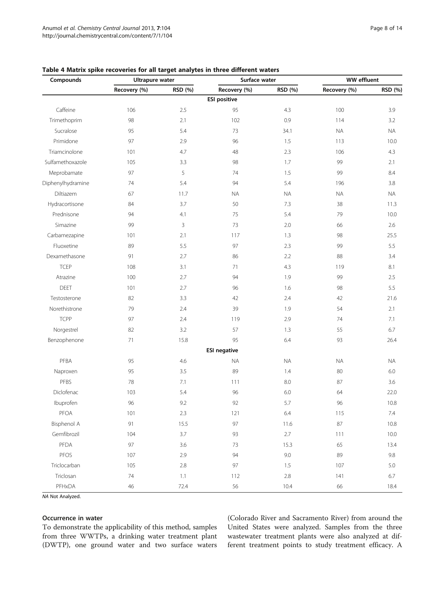| Compounds          | <b>Ultrapure water</b> |         | Surface water       |           | <b>WW</b> effluent |           |  |
|--------------------|------------------------|---------|---------------------|-----------|--------------------|-----------|--|
|                    | Recovery (%)           | RSD (%) | Recovery (%)        | RSD (%)   | Recovery (%)       | RSD (%)   |  |
|                    |                        |         | <b>ESI positive</b> |           |                    |           |  |
| Caffeine           | 106                    | $2.5\,$ | 95                  | 4.3       | 100                | 3.9       |  |
| Trimethoprim       | 98                     | 2.1     | 102                 | 0.9       | 114                | 3.2       |  |
| Sucralose          | 95                     | 5.4     | 73                  | 34.1      | <b>NA</b>          | <b>NA</b> |  |
| Primidone          | 97                     | 2.9     | 96                  | 1.5       | 113                | 10.0      |  |
| Triamcinolone      | 101                    | 4.7     | 48                  | 2.3       | 106                | 4.3       |  |
| Sulfamethoxazole   | 105                    | 3.3     | 98                  | 1.7       | 99                 | 2.1       |  |
| Meprobamate        | 97                     | 5       | 74                  | 1.5       | 99                 | 8.4       |  |
| Diphenylhydramine  | 5.4<br>74              |         | 94                  | 5.4       | 196                | 3.8       |  |
| Diltiazem          | 67<br>11.7             |         | <b>NA</b>           | <b>NA</b> | <b>NA</b>          | <b>NA</b> |  |
| Hydracortisone     | 84                     | 3.7     | 50                  | 7.3       | 38                 | 11.3      |  |
| Prednisone         | 94                     |         | 75                  | 5.4       | 79                 | 10.0      |  |
| Simazine           | 99                     | 3       | 73                  | 2.0       | 66                 | 2.6       |  |
| Carbamezapine      | 101                    | 2.1     | 117                 | 1.3       | 98                 | 25.5      |  |
| Fluoxetine         | 89                     | 5.5     | 97                  | 2.3       | 99                 | 5.5       |  |
| Dexamethasone      | 91                     | 2.7     | 86                  | 2.2       | 88                 | 3.4       |  |
| <b>TCEP</b>        | 108                    | 3.1     | 71                  | 4.3       | 119                | 8.1       |  |
| Atrazine           | 100                    | 2.7     | 94                  | 1.9       | 99                 | 2.5       |  |
| <b>DEET</b>        | 101                    | 2.7     | 96                  | 1.6       | 98                 | 5.5       |  |
| Testosterone       | 82                     | 3.3     | 42                  | 2.4       | 42                 | 21.6      |  |
| Norethistrone      | 79                     | 2.4     | 39                  | 1.9       | 54                 | 2.1       |  |
| <b>TCPP</b>        | 97                     | 2.4     | 119                 | 2.9       | 74                 | 7.1       |  |
| Norgestrel         | 82                     | 3.2     | 57                  | 1.3       | 55                 | 6.7       |  |
| Benzophenone       | 71                     | 15.8    | 95                  | 6.4       | 93                 | 26.4      |  |
|                    |                        |         | <b>ESI negative</b> |           |                    |           |  |
| PFBA               | 95                     | 4.6     | <b>NA</b>           | <b>NA</b> | <b>NA</b>          | <b>NA</b> |  |
| Naproxen           | 95                     | 3.5     | 89                  | 1.4       | 80                 | 6.0       |  |
| PFBS               | 78                     | 7.1     | 111                 | 8.0       | 87                 | 3.6       |  |
| Diclofenac         | 103                    | 5.4     | 96                  | 6.0       | 64                 | 22.0      |  |
| Ibuprofen          | 96                     | 9.2     | 92                  | 5.7       | 96                 | 10.8      |  |
| PFOA               | 101                    | $2.3\,$ | 121                 | 6.4       | 115                | 7.4       |  |
| <b>Bisphenol A</b> | 91                     | 15.5    | 97                  | 11.6      | 87                 | 10.8      |  |
| Gemfibrozil        | 104                    | 3.7     | 93                  | 2.7       | 111                | 10.0      |  |
| PFDA               | 97                     | 3.6     | 73                  | 15.3      | 65                 | 13.4      |  |
| PFOS               | 107                    | 2.9     | 94                  | 9.0       | 89                 | 9.8       |  |
| Triclocarban       | 105                    | 2.8     | 97                  | 1.5       | 107                | $5.0\,$   |  |
| Triclosan          | 74                     | 1.1     | 112                 | $2.8\,$   | 141                | 6.7       |  |
| PFHxDA             | 46                     | 72.4    | 56                  | 10.4      | 66                 | 18.4      |  |

## <span id="page-7-0"></span>Table 4 Matrix spike recoveries for all target analytes in three different waters

NA Not Analyzed.

## Occurrence in water

To demonstrate the applicability of this method, samples from three WWTPs, a drinking water treatment plant (DWTP), one ground water and two surface waters (Colorado River and Sacramento River) from around the United States were analyzed. Samples from the three wastewater treatment plants were also analyzed at different treatment points to study treatment efficacy. A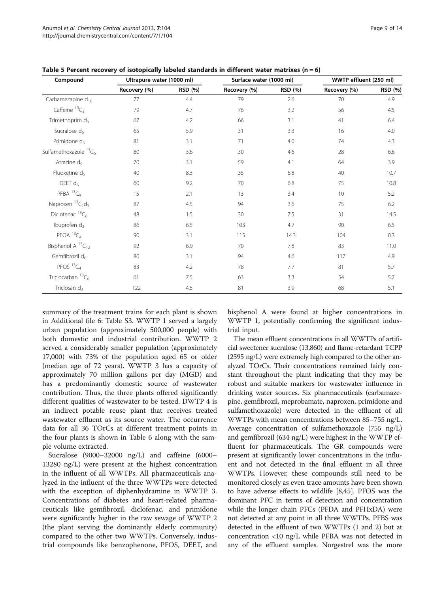| Compound                      | Ultrapure water (1000 ml) |         | Surface water (1000 ml) |         | WWTP effluent (250 ml) |         |  |
|-------------------------------|---------------------------|---------|-------------------------|---------|------------------------|---------|--|
|                               | Recovery (%)              | RSD (%) | Recovery (%)            | RSD (%) | Recovery (%)           | RSD (%) |  |
| Carbamezapine d <sub>10</sub> | 77                        | 4.4     | 79                      | 2.6     | 70                     | 4.9     |  |
| Caffeine ${}^{13}C_3$         | 79                        | 4.7     | 76                      | 3.2     | 56                     | 4.5     |  |
| Trimethoprim d <sub>3</sub>   | 67                        | 4.2     | 3.1<br>66               |         | 41                     | 6.4     |  |
| Sucralose d <sub>6</sub>      | 65                        | 5.9     | 31                      | 3.3     | 16                     | 4.0     |  |
| Primidone d <sub>5</sub>      | 81                        | 3.1     | 71                      | 4.0     | 74                     | 4.3     |  |
| Sulfamethoxazole ${}^{13}C_6$ | 80                        | 3.6     | 30                      | 4.6     | 28                     | 6.6     |  |
| Atrazine d <sub>5</sub>       | 70                        | 3.1     | 59                      | 4.1     | 64                     | 3.9     |  |
| Fluoxetine d <sub>5</sub>     | 40                        | 8.3     | 35                      | 6.8     | 40                     | 10.7    |  |
| DEET $d_6$                    | 60                        | 9.2     | 70                      | 6.8     | 75                     | 10.8    |  |
| PFBA ${}^{13}C_4$             | 15                        | 2.1     | 13                      | 3.4     | 10                     | 5.2     |  |
| Naproxen ${}^{13}C_1d_3$      | 87                        | 4.5     | 94                      | 3.6     | 75                     | 6.2     |  |
| Diclofenac ${}^{13}C_6$       | 48                        |         | 30                      | 7.5     | 31                     | 14.5    |  |
| Ibuprofen d <sub>3</sub>      | 86                        | 6.5     | 103                     | 4.7     | 90                     | 6.5     |  |
| PFOA ${}^{13}C_4$             | 90                        | 3.1     | 115                     | 14.3    | 104                    | 0.3     |  |
| Bisphenol A ${}^{13}C_{12}$   | 92                        | 6.9     | 70                      | 7.8     | 83                     | 11.0    |  |
| Gemfibrozil d <sub>6</sub>    | 86                        | 3.1     | 4.6<br>94               |         | 117                    | 4.9     |  |
| PFOS ${}^{13}C_4$             | 83<br>4.2                 |         | 78                      | 7.7     | 81                     | 5.7     |  |
| Triclocarban ${}^{13}C_6$     | 61                        | 7.5     | 63                      | 3.3     | 54                     | 5.7     |  |
| Triclosan $d_3$               | 122                       | 4.5     | 81                      | 3.9     | 68                     | 5.1     |  |

<span id="page-8-0"></span>Table 5 Percent recovery of isotopically labeled standards in different water matrixes ( $n = 6$ )

summary of the treatment trains for each plant is shown in Additional file [6:](#page-11-0) Table S3. WWTP 1 served a largely urban population (approximately 500,000 people) with both domestic and industrial contribution. WWTP 2 served a considerably smaller population (approximately 17,000) with 73% of the population aged 65 or older (median age of 72 years). WWTP 3 has a capacity of approximately 70 million gallons per day (MGD) and has a predominantly domestic source of wastewater contribution. Thus, the three plants offered significantly different qualities of wastewater to be tested. DWTP 4 is an indirect potable reuse plant that receives treated wastewater effluent as its source water. The occurrence data for all 36 TOrCs at different treatment points in the four plants is shown in Table [6](#page-9-0) along with the sample volume extracted.

Sucralose (9000–32000 ng/L) and caffeine (6000– 13280 ng/L) were present at the highest concentration in the influent of all WWTPs. All pharmaceuticals analyzed in the influent of the three WWTPs were detected with the exception of diphenhydramine in WWTP 3. Concentrations of diabetes and heart-related pharmaceuticals like gemfibrozil, diclofenac, and primidone were significantly higher in the raw sewage of WWTP 2 (the plant serving the dominantly elderly community) compared to the other two WWTPs. Conversely, industrial compounds like benzophenone, PFOS, DEET, and bisphenol A were found at higher concentrations in WWTP 1, potentially confirming the significant industrial input.

The mean effluent concentrations in all WWTPs of artificial sweetener sucralose (13,860) and flame-retardant TCPP (2595 ng/L) were extremely high compared to the other analyzed TOrCs. Their concentrations remained fairly constant throughout the plant indicating that they may be robust and suitable markers for wastewater influence in drinking water sources. Six pharmaceuticals (carbamazepine, gemfibrozil, meprobamate, naproxen, primidone and sulfamethoxazole) were detected in the effluent of all WWTPs with mean concentrations between 85–755 ng/L. Average concentration of sulfamethoxazole (755 ng/L) and gemfibrozil (634 ng/L) were highest in the WWTP effluent for pharmaceuticals. The GR compounds were present at significantly lower concentrations in the influent and not detected in the final effluent in all three WWTPs. However, these compounds still need to be monitored closely as even trace amounts have been shown to have adverse effects to wildlife [\[8,](#page-12-0)[45\]](#page-13-0). PFOS was the dominant PFC in terms of detection and concentration while the longer chain PFCs (PFDA and PFHxDA) were not detected at any point in all three WWTPs. PFBS was detected in the effluent of two WWTPs (1 and 2) but at concentration <10 ng/L while PFBA was not detected in any of the effluent samples. Norgestrel was the more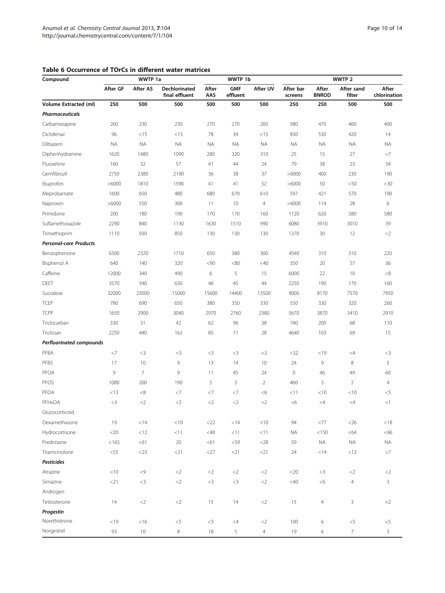| Compound                      |              | WWTP 1a         |                                 |              | WWTP 1b                |                |                      | WWTP <sub>2</sub>     |                          |                       |  |
|-------------------------------|--------------|-----------------|---------------------------------|--------------|------------------------|----------------|----------------------|-----------------------|--------------------------|-----------------------|--|
|                               | After GF     | <b>After AS</b> | Dechlorinated<br>final effluent | After<br>AAS | <b>GMF</b><br>effluent | After UV       | After bar<br>screens | After<br><b>BNROD</b> | After sand<br>filter     | After<br>chlorination |  |
| <b>Volume Extracted (ml)</b>  | 250          | 500             | 500                             | 500          | 500                    | 500            | 250                  | 250                   | 500                      | 500                   |  |
| <b>Pharmaceuticals</b>        |              |                 |                                 |              |                        |                |                      |                       |                          |                       |  |
| Carbamezapine                 | 260          | 230             | 230                             | 270          | 270                    | 260            | 580                  | 470                   | 460                      | 400                   |  |
| Diclofenac                    | 96           | <15             | $<$ 15                          | 78           | 34                     | <15            | 830                  | 530                   | 420                      | 14                    |  |
| Diltiazem                     | <b>NA</b>    | <b>NA</b>       | <b>NA</b>                       | <b>NA</b>    | <b>NA</b>              | <b>NA</b>      | <b>NA</b>            | <b>NA</b>             | <b>NA</b>                | <b>NA</b>             |  |
| Diphenhydramine               | 1620         | 1480            | 1090                            | 280          | 320                    | 310            | 25                   | 15                    | 27                       | $<$ 7                 |  |
| Fluoxetine                    | 160          | 32              | 57                              | 41           | 44                     | 24             | 79                   | 38                    | 23                       | 34                    |  |
| Gemfibrozil                   | 2750<br>2380 |                 | 2190                            | 36           | 38                     | 37             | >6000                | 400                   | 230                      | 190                   |  |
| Ibuprofen                     | >6000        | 1810            | 1590                            | 41           | 41                     | 52             | >6000                | 50                    | < 50                     | $<$ 30                |  |
| Meprobamate                   | 1600         | 650             | 480                             | 680          | 670                    | 610            | 597                  | 421                   | 570                      | 190                   |  |
| Naproxen                      | >6000        | 550             | 300                             | 11           | 10                     | $\overline{4}$ | >6000                | 114                   | 28                       | 6                     |  |
| Primidone                     | 200          | 180             | 190                             | 170          | 170                    | 160            | 1120                 | 620                   | 580                      | 580                   |  |
| Sulfamethoxazole              | 2290         | 840             | 1130                            | 1630         | 1510                   | 990            | 6080                 | 3910                  | 3010                     | 39                    |  |
| Trimethoprim                  | 1110         | 930             | 850                             | 130          | 130                    | 130            | 1370                 | 30                    | 12                       | $<$ 2                 |  |
| <b>Personal-care Products</b> |              |                 |                                 |              |                        |                |                      |                       |                          |                       |  |
| Benzophenone                  | 6300         | 2320            | 1710                            | 650          | 380                    | 300            | 4540                 | 310                   | 310                      | 220                   |  |
| Bisphenol A                   | 640          | 140             | 320                             | < 90         | < 80                   | $<$ 40         | 350                  | 20                    | 57                       | 36                    |  |
| Caffeine                      | 12000        | 340             | 490                             | 6            | 5                      | 15             | 6000                 | 22                    | 10                       | < 8                   |  |
| <b>DEET</b>                   | 3570         | 540             | 630                             | 46           | 45                     | 44             | 2250                 | 190                   | 170                      | 160                   |  |
| Sucralose                     | 32000        | 23000           | 15000                           | 15600        | 14400                  | 13500          | 9000                 | 8170                  | 7570                     | 7950                  |  |
| <b>TCEP</b>                   | 780          | 690             | 650                             | 380          | 350                    | 330            | 550                  | 330                   | 320                      | 260                   |  |
| <b>TCPP</b>                   | 1650         | 2900            | 3040                            | 2970         | 2760                   | 2380           | 5670                 | 3870                  | 3410                     | 2910                  |  |
| Triclocarban                  | 330          | 31              | 42                              | 62           | 96                     | 38             | 740                  | 200                   | 68                       | 110                   |  |
| Triclosan                     | 2250         | 440             | 162                             | 85           | 71                     | 28             | 4640                 | 103                   | 69                       | 15                    |  |
| Perfluorinated compounds      |              |                 |                                 |              |                        |                |                      |                       |                          |                       |  |
| PFBA                          | $<$ 7        | $<$ 3           | $<$ 3                           | $<$ 3        | $<$ 3                  | $<$ 3          | $<$ 32               | $<$ 19                | $\leq$ 4                 | $<$ 3                 |  |
| PFBS                          | 17           | 10              | 9                               | 13           | 14                     | 10             | 24                   | 9                     | 8                        | 5                     |  |
| PFOA                          | 9            | 7               | 9                               | 11           | 45                     | 24             | $\mathbf 0$          | 46                    | 49                       | 60                    |  |
| PFOS                          | 1080         | 200             | 190                             | 5            | 3                      | $\overline{2}$ | 460                  | 3                     | $\overline{2}$           | $\overline{4}$        |  |
| PFDA                          | $<$ 13       | < 8             | <7                              | $<$ 7        | <7                     | <6             | < 11                 | $<$ 10                | < 10                     | $<$ 5                 |  |
| PFHxDA                        | $<$ 3        | $<$ 2           | $\leq$                          | $<$ 2        | $<$ 2                  | $<$ 2          | <6                   | $\leq 4$              | $\leq 4$                 | <1                    |  |
| Glucocorticoid                |              |                 |                                 |              |                        |                |                      |                       |                          |                       |  |
| Dexamethasone                 | 19           | < 14            | < 10                            | $<$ 22       | < 14                   | $<10$          | 94                   | $<77$                 | $<$ 26                   | < 18                  |  |
| Hydrocortisone                | $<$ 20       | < 12            | < 11                            | <48          | <11                    | <11            | <b>NA</b>            | < 150                 | <64                      | $<$ 46 $\,$           |  |
| Prednisone                    | < 165        | <61             | 20                              | < 61         | < 59                   | $<$ 28         | 59                   | NA                    | <b>NA</b>                | NA                    |  |
| Triamcinolone                 | $<$ 55       | $<$ 23          | $<$ 21                          | $<$ 27       | $<$ 21                 | $<$ 21         | 24                   | $<$ 14                | <12                      | $<$ 7                 |  |
| <b>Pesticides</b>             |              |                 |                                 |              |                        |                |                      |                       |                          |                       |  |
| Atrazine                      | $<10$        | $< 9$           | $<$ 2                           | $<$ 2        | ${<}2$                 | $<$ 2          | $<$ 20               | $<$ 3                 | $<$ 2                    | $\langle 2$           |  |
| Simazine                      | $<$ 21       | $<$ 3           | $<$ 2                           | $<$ 3        | ${<}3$                 | $<$ $\!2$      | $<\!\!40$            | <6                    | $\overline{4}$           | 3                     |  |
| Androgen                      |              |                 |                                 |              |                        |                |                      |                       |                          |                       |  |
| Testosterone                  | 14           | ${<}2$          | ${<}2$                          | 15           | 14                     | ${<}2$         | 15                   | $\overline{4}$        | $\mathbf{3}$             | $<$ 2                 |  |
| Progestin                     |              |                 |                                 |              |                        |                |                      |                       |                          |                       |  |
| Norethistrone                 | < 19         | $<$ 16          | $<$ 5                           | $<$ 5        | $<$ 4                  | $<$ 2          | 100                  | 6                     | $<$ 5                    | $<$ 5                 |  |
| Norgestrel                    | 93           | $10\,$          | 8                               | 18           | 5                      | $\overline{4}$ | 19                   | 6                     | $\overline{\mathcal{I}}$ | 3                     |  |
|                               |              |                 |                                 |              |                        |                |                      |                       |                          |                       |  |

## <span id="page-9-0"></span>Table 6 Occurrence of TOrCs in different water matrices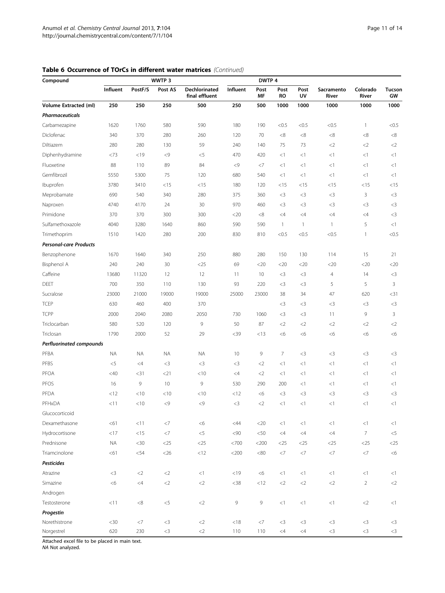|  | Table 6 Occurrence of TOrCs in different water matrices (Continued) |  |  |  |  |  |
|--|---------------------------------------------------------------------|--|--|--|--|--|
|--|---------------------------------------------------------------------|--|--|--|--|--|

| Compound                        | WWTP 3    |           |          |                                 | DWTP 4   |            |                   |              |                     |                   |                     |
|---------------------------------|-----------|-----------|----------|---------------------------------|----------|------------|-------------------|--------------|---------------------|-------------------|---------------------|
|                                 | Influent  | PostF/S   | Post AS  | Dechlorinated<br>final effluent | Influent | Post<br>MF | Post<br><b>RO</b> | Post<br>UV   | Sacramento<br>River | Colorado<br>River | <b>Tucson</b><br>GW |
| Volume Extracted (ml)           | 250       | 250       | 250      | 500                             | 250      | 500        | 1000              | 1000         | 1000                | 1000              | 1000                |
| <b>Pharmaceuticals</b>          |           |           |          |                                 |          |            |                   |              |                     |                   |                     |
| Carbamezapine                   | 1620      | 1760      | 580      | 590                             | 180      | 190        | < 0.5             | < 0.5        | < 0.5               | $\mathbf{1}$      | < 0.5               |
| Diclofenac                      | 340       | 370       | 280      | 260                             | 120      | 70         | ${<}8$            | <8           | < 8                 | < 8               | $<\!8$              |
| Diltiazem                       | 280       | 280       | 130      | 59                              | 240      | 140        | 75                | 73           | $<$ 2               | $\leq$ 2          | $\langle 2 \rangle$ |
| Diphenhydramine                 | <73       | < 19      | $<$ 9    | $<$ 5                           | 470      | 420        | <1                | $<$ 1        | $<$ 1               | $<$ 1             | <1                  |
| Fluoxetine                      | 88        | 110       | 89       | 84                              | < 9      | $<$ 7      | <1                | $<$ 1        | $<$ 1               | <1                | <1                  |
| Gemfibrozil                     | 5550      | 5300      | 75       | 120                             | 680      | 540        | <1                | <1           | $<$ 1               | <1                | <1                  |
| Ibuprofen                       | 3780      | 3410      | $<$ 15   | $<$ 15                          | 180      | 120        | $<$ 15            | $<$ 15       | $<$ 15              | < 15              | $<$ 15              |
| Meprobamate                     | 690       | 540       | 340      | 280                             | 375      | 360        | $<$ 3             | $<$ 3        | $<$ 3               | 3                 | $<$ 3               |
| Naproxen                        | 4740      | 4170      | 24       | 30                              | 970      | 460        | $<$ 3             | $<$ 3        | $<$ 3               | $<$ 3             | $<$ 3               |
| Primidone                       | 370       | 370       | 300      | 300                             | $<$ 20   | <8         | $\leq 4$          | $\leq 4$     | $\leq 4$            | $\leq 4$          | $<$ 3               |
| Sulfamethoxazole                | 4040      | 3280      | 1640     | 860                             | 590      | 590        | $\mathbf{1}$      | $\mathbf{1}$ | $\mathbf{1}$        | 5                 | <1                  |
| Trimethoprim                    | 1510      | 1420      | 280      | 200                             | 830      | 810        | < 0.5             | < 0.5        | < 0.5               | $\mathbf{1}$      | < 0.5               |
| <b>Personal-care Products</b>   |           |           |          |                                 |          |            |                   |              |                     |                   |                     |
| Benzophenone                    | 1670      | 1640      | 340      | 250                             | 880      | 280        | 150               | 130          | 114                 | 15                | 21                  |
| Bisphenol A                     | 240       | 240       | 30       | $<$ 25                          | 69       | $<$ 20     | $<$ 20            | $<$ 20       | <20                 | <20               | $<$ 20              |
| Caffeine                        | 13680     | 11320     | 12       | 12                              | 11       | 10         | $<$ 3             | $<$ 3        | $\overline{4}$      | 14                | $<$ 3               |
| <b>DEET</b>                     | 700       | 350       | 110      | 130                             | 93       | 220        | $<$ 3             | $<$ 3        | 5                   | 5                 | $\overline{3}$      |
| Sucralose                       | 23000     | 21000     | 19000    | 19000                           | 25000    | 23000      | 38                | 34           | 47                  | 620               | $<$ 31              |
| <b>TCEP</b>                     | 630       | 460       | 400      | 370                             |          |            | $<$ 3             | $<$ 3        | $<$ 3               | $<$ 3             | $<$ 3               |
| <b>TCPP</b>                     | 2000      | 2040      | 2080     | 2050                            | 730      | 1060       | $<$ 3             | $<$ 3        | 11                  | 9                 | 3                   |
| Triclocarban                    | 580       | 520       | 120      | $\overline{9}$                  | 50       | 87         | $<$ 2             | $\leq$       | $<$ 2               | $<$ 2             | $<$ 2               |
| Triclosan                       | 1790      | 2000      | 52       | 29                              | $39$     | <13        | <6                | <6           | <6                  | <6                | <6                  |
| <b>Perfluorinated compounds</b> |           |           |          |                                 |          |            |                   |              |                     |                   |                     |
| PFBA                            | <b>NA</b> | <b>NA</b> | ΝA       | <b>ΝΑ</b>                       | 10       | 9          | $\overline{7}$    | $<$ 3        | $<$ 3               | $<$ 3             | $<$ 3               |
| PFBS                            | $<$ 5     | $\leq 4$  | $<$ 3    | $<$ 3                           | $<$ 3    | $<$ 2      | <1                | $<$ 1        | $<$ 1               | $<$ 1             | <1                  |
| PFOA                            | $<$ 40    | $<$ 31    | $<$ 21   | < 10                            | $\leq 4$ | $<$ 2      | <1                | $<$ 1        | $<$ 1               | $<$ 1             | <1                  |
| PFOS                            | 16        | 9         | 10       | $\overline{9}$                  | 530      | 290        | 200               | $<$ 1        | <1                  | <1                | <1                  |
| PFDA                            | <12       | $<$ 10    | $<$ 10   | < 10                            | < 12     | <6         | $<$ 3             | $<$ 3        | $<$ 3               | $<$ 3             | $<$ 3               |
| PFHxDA                          | $<$ 11    | < 10      | $<$ 9    | < 9                             | $<$ 3    | $<$ 2      | <1                | <1           | $<$ 1               | $<$ 1             | <1                  |
| Glucocorticoid                  |           |           |          |                                 |          |            |                   |              |                     |                   |                     |
| Dexamethasone                   | < 61      | <11       | <7       | <6                              | $<$ 44   | $<$ 20     | <1                | $<\!1$       | <1                  | <1                | <1                  |
| Hydrocortisone                  | < 17      | $<15$     | $<\!\!7$ | $< 5$                           | <90      | $<\!\!50$  | $<$ 4 $\,$        | $\leq 4$     | $<$ 4               | $\overline{7}$    | $<$ 5               |
| Prednisone                      | <b>NA</b> | $<$ 30    | $<$ 25   | $<$ 25                          | <700     | $<$ 200    | $<$ 25            | $<$ 25       | $<$ 25              | $<$ 25            | $<$ 25              |
| Triamcinolone                   | < 61      | $<$ 54    | $<$ 26   | < 12                            | <200     | <80        | $<\!\!7$          | $<\!\!7$     | $<$ 7               | $<$ 7             | <6                  |
| <b>Pesticides</b>               |           |           |          |                                 |          |            |                   |              |                     |                   |                     |
| Atrazine                        | $<$ 3     | $<$ 2     | $<$ 2    | <1                              | < 19     | <6         | $<$ 1             | <1           | <1                  | $<$ 1             | <1                  |
| Simazine                        | <6        | <4        | ${<}2$   | $<$ 2                           | $<$ 38   | $<12$      | ${<}2$            | $<$ $\!2$    | ${<}2$              | $\overline{2}$    | $<$ 2               |
| Androgen                        |           |           |          |                                 |          |            |                   |              |                     |                   |                     |
| Testosterone                    | $<$ 11    | ${<}8$    | $<\!\!5$ | $<$ 2                           | 9        | $\,9$      | <1                | <1           | <1                  | $<$ 2             | <1                  |
| Progestin                       |           |           |          |                                 |          |            |                   |              |                     |                   |                     |
| Norethistrone                   | $<$ 30    | $<$ 7     | ${<}3$   | $<$ 2                           | < 18     | $<$ 7      | ${<}3$            | $<$ 3        | $<$ 3               | $<$ 3             | $<$ 3               |
| Norgestrel                      | 620       | 230       | ${<}3$   | $<$ 2                           | 110      | 110        | $\leq 4$          | $\leq 4$     | $<$ 3               | $<$ 3             | $<$ 3               |

Attached excel file to be placed in main text.

NA Not analyzed.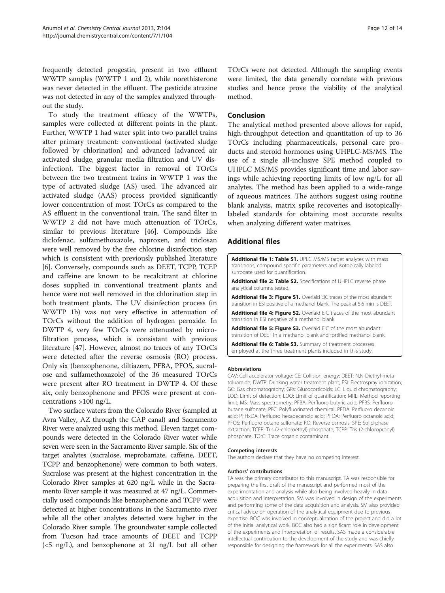<span id="page-11-0"></span>frequently detected progestin, present in two effluent WWTP samples (WWTP 1 and 2), while norethisterone was never detected in the effluent. The pesticide atrazine was not detected in any of the samples analyzed throughout the study.

To study the treatment efficacy of the WWTPs, samples were collected at different points in the plant. Further, WWTP 1 had water split into two parallel trains after primary treatment: conventional (activated sludge followed by chlorination) and advanced (advanced air activated sludge, granular media filtration and UV disinfection). The biggest factor in removal of TOrCs between the two treatment trains in WWTP 1 was the type of activated sludge (AS) used. The advanced air activated sludge (AAS) process provided significantly lower concentration of most TOrCs as compared to the AS effluent in the conventional train. The sand filter in WWTP 2 did not have much attenuation of TOrCs, similar to previous literature [[46](#page-13-0)]. Compounds like diclofenac, sulfamethoxazole, naproxen, and triclosan were well removed by the free chlorine disinfection step which is consistent with previously published literature [[6\]](#page-12-0). Conversely, compounds such as DEET, TCPP, TCEP and caffeine are known to be recalcitrant at chlorine doses supplied in conventional treatment plants and hence were not well removed in the chlorination step in both treatment plants. The UV disinfection process (in WWTP 1b) was not very effective in attenuation of TOrCs without the addition of hydrogen peroxide. In DWTP 4, very few TOrCs were attenuated by microfiltration process, which is consistant with previous literature [[47](#page-13-0)]. However, almost no traces of any TOrCs were detected after the reverse osmosis (RO) process. Only six (benzophenone, diltiazem, PFBA, PFOS, sucralose and sulfamethoxazole) of the 36 measured TOrCs were present after RO treatment in DWTP 4. Of these six, only benzophenone and PFOS were present at concentrations >100 ng/L.

Two surface waters from the Colorado River (sampled at Avra Valley, AZ through the CAP canal) and Sacramento River were analyzed using this method. Eleven target compounds were detected in the Colorado River water while seven were seen in the Sacramento River sample. Six of the target analytes (sucralose, meprobamate, caffeine, DEET, TCPP and benzophenone) were common to both waters. Sucralose was present at the highest concentration in the Colorado River samples at 620 ng/L while in the Sacramento River sample it was measured at 47 ng/L. Commercially used compounds like benzophenone and TCPP were detected at higher concentrations in the Sacramento river while all the other analytes detected were higher in the Colorado River sample. The groundwater sample collected from Tucson had trace amounts of DEET and TCPP (<5 ng/L), and benzophenone at 21 ng/L but all other TOrCs were not detected. Although the sampling events were limited, the data generally correlate with previous studies and hence prove the viability of the analytical method.

#### Conclusion

The analytical method presented above allows for rapid, high-throughput detection and quantitation of up to 36 TOrCs including pharmaceuticals, personal care products and steroid hormones using UHPLC-MS/MS. The use of a single all-inclusive SPE method coupled to UHPLC MS/MS provides significant time and labor savings while achieving reporting limits of low ng/L for all analytes. The method has been applied to a wide-range of aqueous matrices. The authors suggest using routine blank analysis, matrix spike recoveries and isotopicallylabeled standards for obtaining most accurate results when analyzing different water matrixes.

#### Additional files

[Additional file 1: Table S1.](http://www.biomedcentral.com/content/supplementary/1752-153X-7-104-S1.doc) UPLC MS/MS target analytes with mass transitions, compound specific parameters and isotopically labeled surrogate used for quantification.

[Additional file 2: Table S2.](http://www.biomedcentral.com/content/supplementary/1752-153X-7-104-S2.doc) Specifications of UHPLC reverse phase analytical columns tested.

[Additional file 3: Figure S1.](http://www.biomedcentral.com/content/supplementary/1752-153X-7-104-S3.pptx) Overlaid EIC traces of the most abundant transition in ESI positive of a methanol blank. The peak at 5.6 min is DEET.

[Additional file 4: Figure S2.](http://www.biomedcentral.com/content/supplementary/1752-153X-7-104-S4.pptx) Overlaid EIC traces of the most abundant transition in ESI negative of a methanol blank.

[Additional file 5: Figure S3.](http://www.biomedcentral.com/content/supplementary/1752-153X-7-104-S5.pptx) Overlaid EIC of the most abundant transition of DEET in a methanol blank and fortified methanol blank.

[Additional file 6: Table S3.](http://www.biomedcentral.com/content/supplementary/1752-153X-7-104-S6.doc) Summary of treatment processes employed at the three treatment plants included in this study.

#### Abbreviations

CAV: Cell accelerator voltage; CE: Collision energy; DEET: N,N-Diethyl-metatoluamide; DWTP: Drinking water treatment plant; ESI: Electrospray ionization; GC: Gas chromatography; GRs: Glucocorticoids; LC: Liquid chromatography; LOD: Limit of detection; LOQ: Limit of quantification; MRL: Method reporting limit; MS: Mass spectrometry; PFBA: Perfluoro butyric acid; PFBS: Perfluoro butane sulfonate; PFC: Polyfluorinated chemical; PFDA: Perfluoro decanoic acid; PFHxDA: Perfluoro hexadecanoic acid; PFOA: Perfluoro octanoic acid; PFOS: Perfluoro octane sulfonate; RO: Reverse osmosis; SPE: Solid-phase extraction; TCEP: Tris (2-chloroethyl) phosphate; TCPP: Tris (2-chloropropyl) phosphate; TOrC: Trace organic contaminant.

#### Competing interests

The authors declare that they have no competing interest.

#### Authors' contributions

TA was the primary contributor to this manuscript. TA was responsible for preparing the first draft of the manuscript and performed most of the experimentation and analysis while also being involved heavily in data acquisition and interpretation. SM was involved in design of the experiments and performing some of the data acquisition and analysis. SM also provided critical advice on operation of the analytical equipment due to previous expertise. BOC was involved in conceptualization of the project and did a lot of the initial analytical work. BOC also had a significant role in development of the experiments and interpretation of results. SAS made a considerable intellectual contribution to the development of the study and was chiefly responsible for designing the framework for all the experiments. SAS also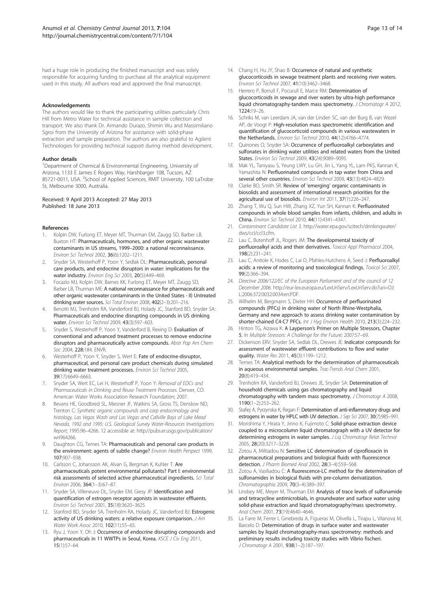<span id="page-12-0"></span>had a huge role in producing the finished manuscript and was solely responsible for acquiring funding to purchase all the analytical equipment used in this study. All authors read and approved the final manuscript.

#### Acknowledgements

The authors would like to thank the participating utilities particularly Chris Hill from Metro Water for technical assistance in sample collection and transport. We also thank Dr. Armando Durazo, Shimin Wu and Massimiliano Sgroi from the University of Arizona for assistance with solid-phase extraction and sample preparation. The authors are also grateful to Agilent Technologies for providing technical support during method development.

#### Author details

<sup>1</sup>Department of Chemical & Environmental Engineering, University of Arizona, 1133 E James E Rogers Way, Harshbarger 108, Tucson, AZ 85721-0011, USA. <sup>2</sup>School of Applied Sciences, RMIT University, 100 LaTrobe St, Melbourne 3000, Australia.

#### Received: 9 April 2013 Accepted: 27 May 2013 Published: 18 June 2013

#### References

- Kolpin DW, Furlong ET, Meyer MT, Thurman EM, Zaugg SD, Barber LB, Buxton HT: Pharmaceuticals, hormones, and other organic wastewater contaminants in US streams, 1999–2000: a national reconnaissance. Environ Sci Technol 2002, 36(6):1202–1211.
- 2. Snyder SA, Westerhoff P, Yoon Y, Sedlak DL: Pharmaceuticals, personal care products, and endocrine disruptors in water: implications for the water industry. Environ Eng Sci 2003, 20(5):449–469.
- 3. Focazio MJ, Kolpin DW, Barnes KK, Furlong ET, Meyer MT, Zaugg SD, Barber LB, Thurman ME: A national reconnaissance for pharmaceuticals and other organic wastewater contaminants in the United States - II) Untreated drinking water sources. Sci Total Environ 2008, 402(2–3):201–216.
- 4. Benotti MJ, Trenholm RA, Vanderford BJ, Holady JC, Stanford BD, Snyder SA: Pharmaceuticals and endocrine disrupting compounds in US drinking water. Environ Sci Technol 2009, 43(3):597–603.
- 5. Snyder S, Westerhoff P, Yoon Y, Vanderford B, Rexing D: Evaluation of conventional and advanced treatment processes to remove endocrine disruptors and pharmaceutically active compounds. Abstr Pap Am Chem Soc 2004, 228:184. ENVR.
- 6. Westerhoff P, Yoon Y, Snyder S, Wert E: Fate of endocrine-disruptor, pharmaceutical, and personal care product chemicals during simulated drinking water treatment processes. Environ Sci Technol 2005, 39(17):6649–6663.
- Snyder SA, Wert EC, Lei H, Westerhoff P, Yoon Y: Removal of EDCs and Pharmaceuticals in Drinking and Reuse Treatment Processes. Denver, CO: American Water Works Association Research Foundation; 2007.
- 8. Bevans HE, Goodbred SL, Miesner JF, Watkins SA, Gross TS, Denslow ND, Trenton C: Synthetic organic compounds and carp endocrinology and histology, Las Vegas Wash and Las Vegas and Callville Bays of Lake Mead Nevada, 1992 and 1995: U.S. Geological Survey Water-Resources Investigations Report; 1995:96–4266. 12 accessible at: [http://pubs.er.usgs.gov/publication/](http://pubs.er.usgs.gov/publication/wri964266) [wri964266.](http://pubs.er.usgs.gov/publication/wri964266)
- 9. Daughton CG, Ternes TA: Pharmaceuticals and personal care products in the environment: agents of subtle change? Environ Health Perspect 1999, 107:907–938.
- 10. Carlsson C, Johansson AK, Alvan G, Bergman K, Kuhler T: Are pharmaceuticals potent environmental pollutants? Part I: environmental risk assessments of selected active pharmaceutical ingredients. Sci Total Environ 2006, 364(1–3):67–87.
- 11. Snyder SA, Villeneuve DL, Snyder EM, Giesy JP: Identification and quantification of estrogen receptor agonists in wastewater effluents. Environ Sci Technol 2001, 35(18):3620–3625.
- 12. Stanford BD, Snyder SA, Trenholm RA, Holady JC, Vanderford BJ: Estrogenic activity of US drinking waters: a relative exposure comparison. J Am Water Work Assoc 2010, 102(11):55–65.
- 13. Ryu J, Yoon Y, Oh J: Occurrence of endocrine disrupting compounds and pharmaceuticals in 11 WWTPs in Seoul, Korea. KSCE J Civ Eng 2011, 15(1):57–64.
- 14. Chang H, Hu JY, Shao B: Occurrence of natural and synthetic glucocorticoids in sewage treatment plants and receiving river waters. Environ Sci Technol 2007, 41(10):3462–3468.
- 15. Herrero P, Borrull F, Pocurull E, Marce RM: Determination of glucocorticoids in sewage and river waters by ultra-high performance liquid chromatography-tandem mass spectrometry. J Chromatogr A 2012, 1224:19–26.
- 16. Schriks M, van Leerdam JA, van der Linden SC, van der Burg B, van Wezel AP, de Voogt P: High-resolution mass spectrometric identification and quantification of glucocorticoid compounds in various wastewaters in the Netherlands. Environ Sci Technol 2010, 44(12):4766–4774.
- 17. Quinones O, Snyder SA: Occurrence of perfluoroalkyl carboxylates and sulfonates in drinking water utilities and related waters from the United States. Environ Sci Technol 2009, 43(24):9089–9095.
- Mak YL, Taniyasu S, Yeung LWY, Lu GH, Jin L, Yang YL, Lam PKS, Kannan K, Yamashita N: Perfluorinated compounds in tap water from China and several other countries. Environ Sci Technol 2009, 43(13):4824–4829.
- 19. Clarke BO, Smith SR: Review of 'emerging' organic contaminants in biosolids and assessment of international research priorities for the agricultural use of biosolids. Environ Int 2011, 37(1):226–247.
- 20. Zhang T, Wu Q, Sun HW, Zhang XZ, Yun SH, Kannan K: Perfluorinated compounds in whole blood samples from infants, children, and adults in China. Environ Sci Technol 2010, 44(11):4341–4347.
- 21. Contaminant Candidate List 3. [http://water.epa.gov/scitech/drinkingwater/](http://water.epa.gov/scitech/drinkingwater/dws/ccl/ccl3.cfm) [dws/ccl/ccl3.cfm.](http://water.epa.gov/scitech/drinkingwater/dws/ccl/ccl3.cfm)
- 22. Lau C, Butenhoff JL, Rogers JM: The developmental toxicity of perfluoroalkyl acids and their derivatives. Toxicol Appl Pharmacol 2004, 198(2):231–241.
- 23. Lau C, Anitole K, Hodes C, Lai D, Pfahles-Hutchens A, Seed J: Perfluoroalkyl acids: a review of monitoring and toxicological findings. Toxicol Sci 2007, 99(2):366–394.
- 24. Directive 2006/122/EC of the European Parliament and of the council of 12 December 2006. [http://eur-lex.europa.eu/LexUriServ/LexUriServ.do?uri=OJ:](http://eur-lex.europa.eu/LexUriServ/LexUriServ.do?uri=OJ:L:2006:372:0032:0034:en:PDF) [L:2006:372:0032:0034:en:PDF.](http://eur-lex.europa.eu/LexUriServ/LexUriServ.do?uri=OJ:L:2006:372:0032:0034:en:PDF)
- 25. Wilhelm M, Bergmann S, Dieter HH: Occurrence of perfluorinated compounds (PFCs) in drinking water of North Rhine-Westphalia, Germany and new approach to assess drinking water contamination by shorter-chained C4-C7 PFCs. Int J Hyg Environ Health 2010, 213(3):224–232.
- 26. Hinton TG, Aizawa K: A Layperson's Primer on Multiple Stressors, Chapter 5. In Multiple Stressors: A Challenge for the Future; 2007:57–69.
- 27. Dickenson ERV, Snyder SA, Sedlak DL, Drewes JE: Indicator compounds for assessment of wastewater effluent contributions to flow and water quality. Water Res 2011, 45(3):1199–1212.
- 28. Ternes TA: Analytical methods for the determination of pharmaceuticals in aqueous environmental samples. Trac-Trends Anal Chem 2001, 20(8):419–434.
- Trenholm RA, Vanderford BJ, Drewes JE, Snyder SA: Determination of household chemicals using gas chromatography and liquid chromatography with tandem mass spectrometry. J Chromatogr A 2008, 1190(1–2):253–262.
- 30. Stafiej A, Pyrzynska K, Regan F: Determination of anti-inflammatory drugs and estrogens in water by HPLC with UV detection. J Sep Sci 2007, 30(7):985-991.
- 31. Morishima Y, Hirata Y, Jinno K, Fujimoto C: Solid-phase extraction device coupled to a microcolumn liquid chromatograph with a UV detector for determining estrogens in water samples. J Liq Chromatogr Relat Technol 2005, 28(20):3217–3228.
- 32. Zotou A, Miltiadou N: Sensitive LC determination of ciprofloxacin in pharmaceutical preparations and biological fluids with fluorescence detection. J Pharm Biomed Anal 2002, 28(3–4):559–568.
- 33. Zotou A, Vasiliadou C: A fluorescence-LC method for the determination of sulfonamides in biological fluids with pre-column derivatization. Chromatographia 2009, 70(3–4):389–397.
- 34. Lindsey ME, Meyer M, Thurman EM: Analysis of trace levels of sulfonamide and tetracycline antimicrobials, in groundwater and surface water using solid-phase extraction and liquid chromatography/mass spectrometry. Anal Chem 2001, 73(19):4640–4646.
- 35. La Farre M, Ferrer I, Ginebreda A, Figueras M, Olivella L, Tirapu L, Vilanova M, Barcelo D: Determination of drugs in surface water and wastewater samples by liquid chromatography-mass spectrometry: methods and preliminary results including toxicity studies with Vibrio fischeri. J Chromatogr A 2001, 938(1-2):187-197.